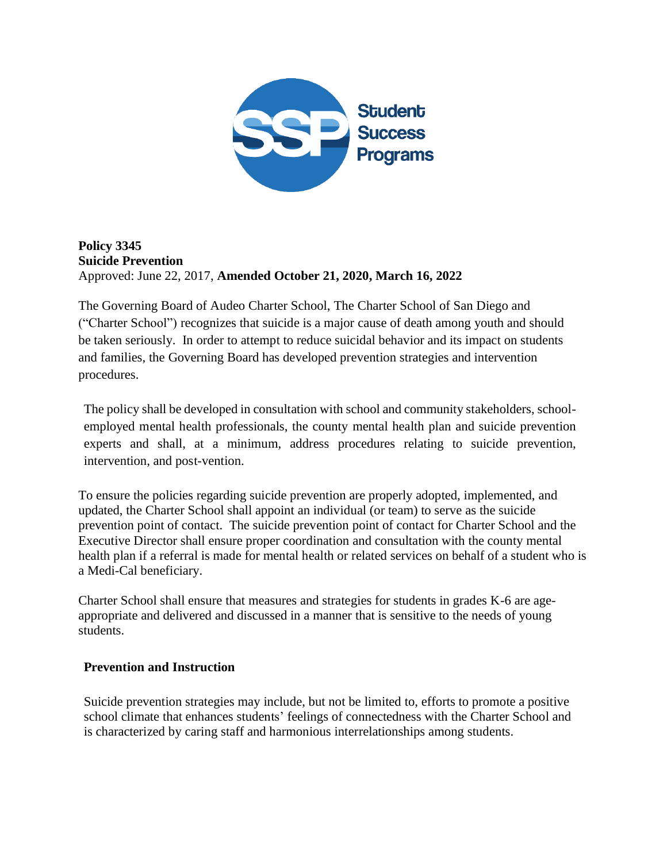

### **Policy 3345 Suicide Prevention**  Approved: June 22, 2017, **Amended October 21, 2020, March 16, 2022**

The Governing Board of Audeo Charter School, The Charter School of San Diego and ("Charter School") recognizes that suicide is a major cause of death among youth and should be taken seriously. In order to attempt to reduce suicidal behavior and its impact on students and families, the Governing Board has developed prevention strategies and intervention procedures.

The policy shall be developed in consultation with school and community stakeholders, schoolemployed mental health professionals, the county mental health plan and suicide prevention experts and shall, at a minimum, address procedures relating to suicide prevention, intervention, and post-vention.

To ensure the policies regarding suicide prevention are properly adopted, implemented, and updated, the Charter School shall appoint an individual (or team) to serve as the suicide prevention point of contact. The suicide prevention point of contact for Charter School and the Executive Director shall ensure proper coordination and consultation with the county mental health plan if a referral is made for mental health or related services on behalf of a student who is a Medi-Cal beneficiary.

Charter School shall ensure that measures and strategies for students in grades K-6 are ageappropriate and delivered and discussed in a manner that is sensitive to the needs of young students.

## **Prevention and Instruction**

Suicide prevention strategies may include, but not be limited to, efforts to promote a positive school climate that enhances students' feelings of connectedness with the Charter School and is characterized by caring staff and harmonious interrelationships among students.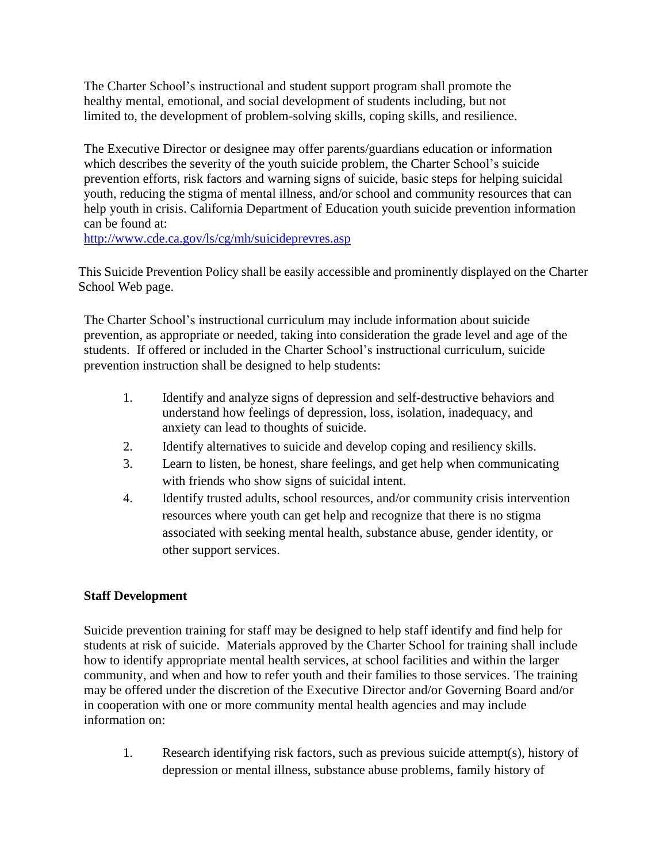The Charter School's instructional and student support program shall promote the healthy mental, emotional, and social development of students including, but not limited to, the development of problem-solving skills, coping skills, and resilience.

The Executive Director or designee may offer parents/guardians education or information which describes the severity of the youth suicide problem, the Charter School's suicide prevention efforts, risk factors and warning signs of suicide, basic steps for helping suicidal youth, reducing the stigma of mental illness, and/or school and community resources that can help youth in crisis. California Department of Education youth suicide prevention information can be found at:

<http://www.cde.ca.gov/ls/cg/mh/suicideprevres.asp>

This Suicide Prevention Policy shall be easily accessible and prominently displayed on the Charter School Web page.

The Charter School's instructional curriculum may include information about suicide prevention, as appropriate or needed, taking into consideration the grade level and age of the students. If offered or included in the Charter School's instructional curriculum, suicide prevention instruction shall be designed to help students:

- 1. Identify and analyze signs of depression and self-destructive behaviors and understand how feelings of depression, loss, isolation, inadequacy, and anxiety can lead to thoughts of suicide.
- 2. Identify alternatives to suicide and develop coping and resiliency skills.
- 3. Learn to listen, be honest, share feelings, and get help when communicating with friends who show signs of suicidal intent.
- 4. Identify trusted adults, school resources, and/or community crisis intervention resources where youth can get help and recognize that there is no stigma associated with seeking mental health, substance abuse, gender identity, or other support services.

# **Staff Development**

Suicide prevention training for staff may be designed to help staff identify and find help for students at risk of suicide. Materials approved by the Charter School for training shall include how to identify appropriate mental health services, at school facilities and within the larger community, and when and how to refer youth and their families to those services. The training may be offered under the discretion of the Executive Director and/or Governing Board and/or in cooperation with one or more community mental health agencies and may include information on:

1. Research identifying risk factors, such as previous suicide attempt(s), history of depression or mental illness, substance abuse problems, family history of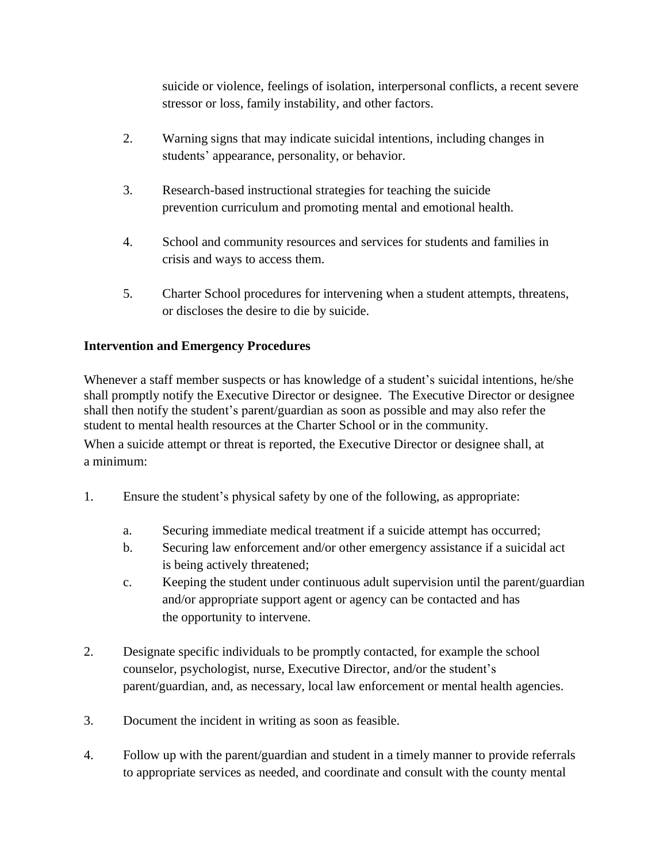suicide or violence, feelings of isolation, interpersonal conflicts, a recent severe stressor or loss, family instability, and other factors.

- 2. Warning signs that may indicate suicidal intentions, including changes in students' appearance, personality, or behavior.
- 3. Research-based instructional strategies for teaching the suicide prevention curriculum and promoting mental and emotional health.
- 4. School and community resources and services for students and families in crisis and ways to access them.
- 5. Charter School procedures for intervening when a student attempts, threatens, or discloses the desire to die by suicide.

# **Intervention and Emergency Procedures**

Whenever a staff member suspects or has knowledge of a student's suicidal intentions, he/she shall promptly notify the Executive Director or designee. The Executive Director or designee shall then notify the student's parent/guardian as soon as possible and may also refer the student to mental health resources at the Charter School or in the community.

When a suicide attempt or threat is reported, the Executive Director or designee shall, at a minimum:

- 1. Ensure the student's physical safety by one of the following, as appropriate:
	- a. Securing immediate medical treatment if a suicide attempt has occurred;
	- b. Securing law enforcement and/or other emergency assistance if a suicidal act is being actively threatened;
	- c. Keeping the student under continuous adult supervision until the parent/guardian and/or appropriate support agent or agency can be contacted and has the opportunity to intervene.
- 2. Designate specific individuals to be promptly contacted, for example the school counselor, psychologist, nurse, Executive Director, and/or the student's parent/guardian, and, as necessary, local law enforcement or mental health agencies.
- 3. Document the incident in writing as soon as feasible.
- 4. Follow up with the parent/guardian and student in a timely manner to provide referrals to appropriate services as needed, and coordinate and consult with the county mental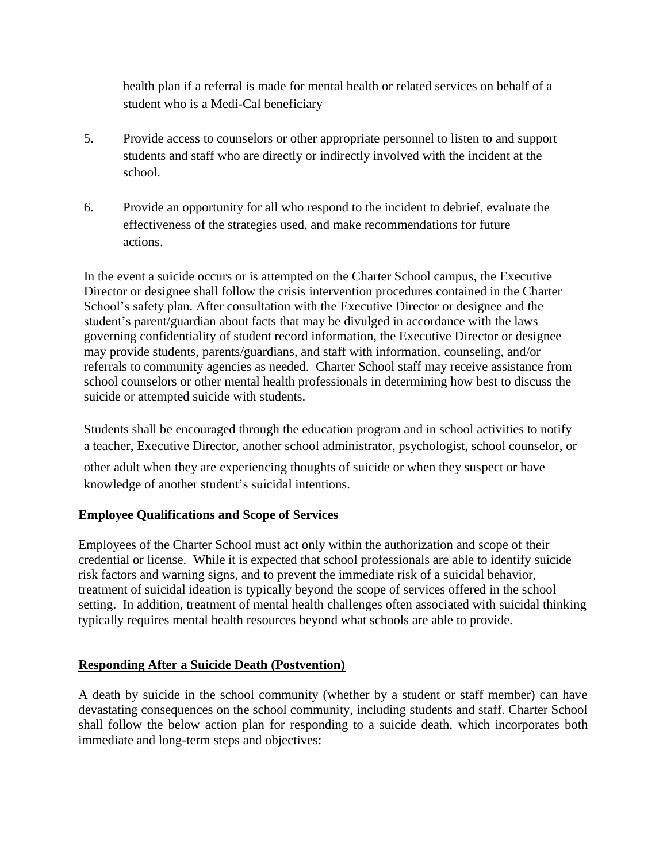health plan if a referral is made for mental health or related services on behalf of a student who is a Medi-Cal beneficiary

- 5. Provide access to counselors or other appropriate personnel to listen to and support students and staff who are directly or indirectly involved with the incident at the school.
- 6. Provide an opportunity for all who respond to the incident to debrief, evaluate the effectiveness of the strategies used, and make recommendations for future actions.

In the event a suicide occurs or is attempted on the Charter School campus, the Executive Director or designee shall follow the crisis intervention procedures contained in the Charter School's safety plan. After consultation with the Executive Director or designee and the student's parent/guardian about facts that may be divulged in accordance with the laws governing confidentiality of student record information, the Executive Director or designee may provide students, parents/guardians, and staff with information, counseling, and/or referrals to community agencies as needed. Charter School staff may receive assistance from school counselors or other mental health professionals in determining how best to discuss the suicide or attempted suicide with students.

Students shall be encouraged through the education program and in school activities to notify a teacher, Executive Director, another school administrator, psychologist, school counselor, or

other adult when they are experiencing thoughts of suicide or when they suspect or have knowledge of another student's suicidal intentions.

## **Employee Qualifications and Scope of Services**

Employees of the Charter School must act only within the authorization and scope of their credential or license. While it is expected that school professionals are able to identify suicide risk factors and warning signs, and to prevent the immediate risk of a suicidal behavior, treatment of suicidal ideation is typically beyond the scope of services offered in the school setting. In addition, treatment of mental health challenges often associated with suicidal thinking typically requires mental health resources beyond what schools are able to provide.

## **Responding After a Suicide Death (Postvention)**

A death by suicide in the school community (whether by a student or staff member) can have devastating consequences on the school community, including students and staff. Charter School shall follow the below action plan for responding to a suicide death, which incorporates both immediate and long-term steps and objectives: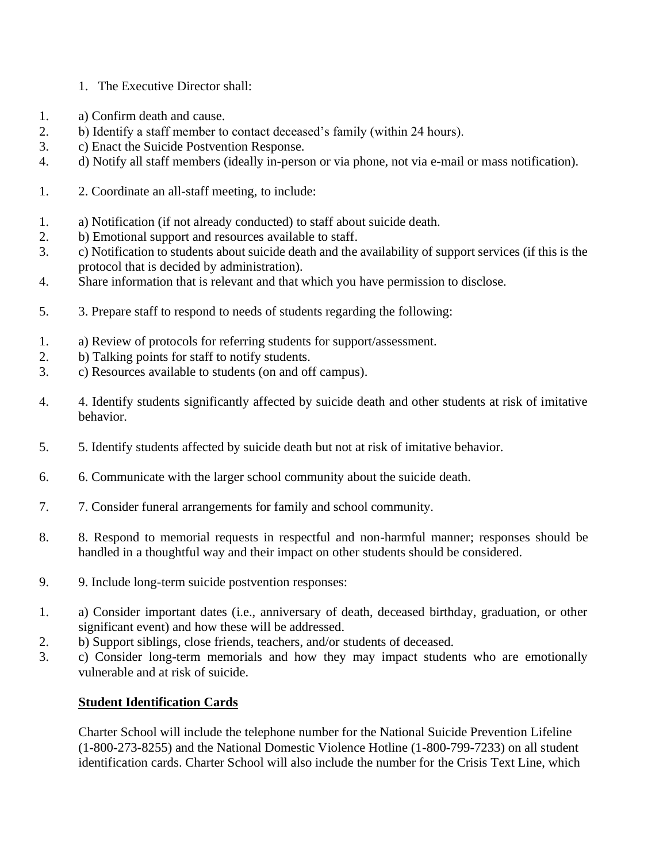- 1. The Executive Director shall:
- 1. a) Confirm death and cause.
- 2. b) Identify a staff member to contact deceased's family (within 24 hours).
- 3. c) Enact the Suicide Postvention Response.
- 4. d) Notify all staff members (ideally in-person or via phone, not via e-mail or mass notification).
- 1. 2. Coordinate an all-staff meeting, to include:
- 1. a) Notification (if not already conducted) to staff about suicide death.
- 2. b) Emotional support and resources available to staff.
- 3. c) Notification to students about suicide death and the availability of support services (if this is the protocol that is decided by administration).
- 4. Share information that is relevant and that which you have permission to disclose.
- 5. 3. Prepare staff to respond to needs of students regarding the following:
- 1. a) Review of protocols for referring students for support/assessment.
- 2. b) Talking points for staff to notify students.
- 3. c) Resources available to students (on and off campus).
- 4. 4. Identify students significantly affected by suicide death and other students at risk of imitative behavior.
- 5. 5. Identify students affected by suicide death but not at risk of imitative behavior.
- 6. 6. Communicate with the larger school community about the suicide death.
- 7. 7. Consider funeral arrangements for family and school community.
- 8. 8. Respond to memorial requests in respectful and non-harmful manner; responses should be handled in a thoughtful way and their impact on other students should be considered.
- 9. 9. Include long-term suicide postvention responses:
- 1. a) Consider important dates (i.e., anniversary of death, deceased birthday, graduation, or other significant event) and how these will be addressed.
- 2. b) Support siblings, close friends, teachers, and/or students of deceased.
- 3. c) Consider long-term memorials and how they may impact students who are emotionally vulnerable and at risk of suicide.

## **Student Identification Cards**

Charter School will include the telephone number for the National Suicide Prevention Lifeline (1-800-273-8255) and the National Domestic Violence Hotline (1-800-799-7233) on all student identification cards. Charter School will also include the number for the Crisis Text Line, which